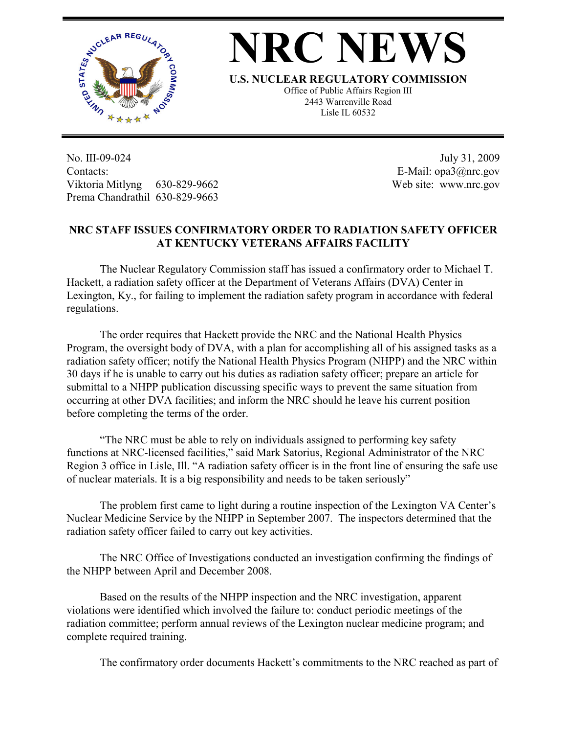

## **NRC NEW**

**U.S. NUCLEAR REGULATORY COMMISSION**

Office of Public Affairs Region III 2443 Warrenville Road Lisle IL 60532

No. III-09-024 Contacts: Viktoria Mitlyng 630-829-9662 Prema Chandrathil 630-829-9663

 July 31, 2009 E-Mail: opa3@nrc.gov Web site: www.nrc.gov

## **NRC STAFF ISSUES CONFIRMATORY ORDER TO RADIATION SAFETY OFFICER AT KENTUCKY VETERANS AFFAIRS FACILITY**

 The Nuclear Regulatory Commission staff has issued a confirmatory order to Michael T. Hackett, a radiation safety officer at the Department of Veterans Affairs (DVA) Center in Lexington, Ky., for failing to implement the radiation safety program in accordance with federal regulations.

 The order requires that Hackett provide the NRC and the National Health Physics Program, the oversight body of DVA, with a plan for accomplishing all of his assigned tasks as a radiation safety officer; notify the National Health Physics Program (NHPP) and the NRC within 30 days if he is unable to carry out his duties as radiation safety officer; prepare an article for submittal to a NHPP publication discussing specific ways to prevent the same situation from occurring at other DVA facilities; and inform the NRC should he leave his current position before completing the terms of the order.

 "The NRC must be able to rely on individuals assigned to performing key safety functions at NRC-licensed facilities," said Mark Satorius, Regional Administrator of the NRC Region 3 office in Lisle, Ill. "A radiation safety officer is in the front line of ensuring the safe use of nuclear materials. It is a big responsibility and needs to be taken seriously"

 The problem first came to light during a routine inspection of the Lexington VA Center's Nuclear Medicine Service by the NHPP in September 2007. The inspectors determined that the radiation safety officer failed to carry out key activities.

 The NRC Office of Investigations conducted an investigation confirming the findings of the NHPP between April and December 2008.

 Based on the results of the NHPP inspection and the NRC investigation, apparent violations were identified which involved the failure to: conduct periodic meetings of the radiation committee; perform annual reviews of the Lexington nuclear medicine program; and complete required training.

The confirmatory order documents Hackett's commitments to the NRC reached as part of